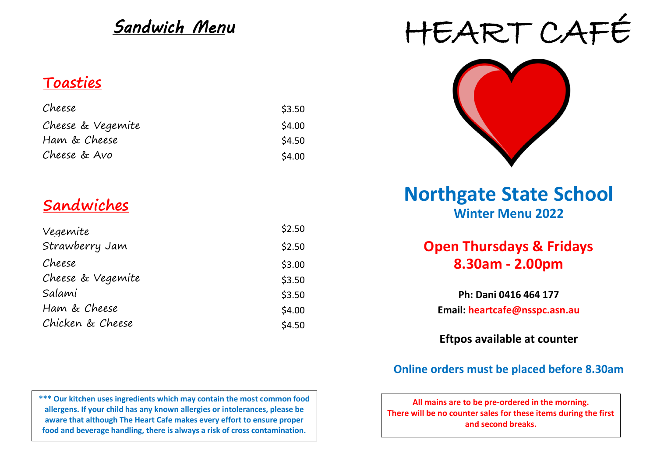# *Sandwich Menu*

## **Toasties**

| Cheese            | \$3.50 |
|-------------------|--------|
| Cheese & Vegemite | \$4.00 |
| Ham & Cheese      | \$4.50 |
| Cheese & Avo      | \$4.00 |

| Vegemite          | \$2.50 |
|-------------------|--------|
| Strawberry Jam    | \$2.50 |
| Cheese            | \$3.00 |
| Cheese & Vegemite | \$3.50 |
| Salami            | \$3.50 |
| Ham & Cheese      | \$4.00 |
| Chicken & Cheese  | \$4.50 |

**\*\*\* Our kitchen uses ingredients which may contain the most common food allergens. If your child has any known allergies or intolerances, please be aware that although The Heart Cafe makes every effort to ensure proper food and beverage handling, there is always a risk of cross contamination.** 

# HEART CAFÉ



# **Winter Menu 2022 Sandwiches Northgate State School**

## **8.30am - 2.00pm Open Thursdays & Fridays**

**Email: heartcafe@nsspc.asn.au Ph: Dani 0416 464 177**

**Eftpos available at counter**

### **Online orders must be placed before 8.30am**

**All mains are to be pre-ordered in the morning. There will be no counter sales for these items during the first and second breaks.**